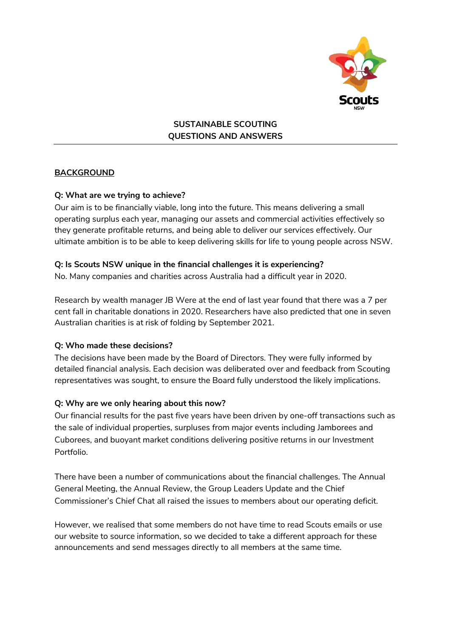

**SUSTAINABLE SCOUTING QUESTIONS AND ANSWERS**

### **BACKGROUND**

#### **Q: What are we trying to achieve?**

Our aim is to be financially viable, long into the future. This means delivering a small operating surplus each year, managing our assets and commercial activities effectively so they generate profitable returns, and being able to deliver our services effectively. Our ultimate ambition is to be able to keep delivering skills for life to young people across NSW.

#### **Q: Is Scouts NSW unique in the financial challenges it is experiencing?**

No. Many companies and charities across Australia had a difficult year in 2020.

Research by wealth manager JB Were at the end of last year found that there was a 7 per cent fall in charitable donations in 2020. Researchers have also predicted that one in seven Australian charities is at risk of folding by September 2021.

### **Q: Who made these decisions?**

The decisions have been made by the Board of Directors. They were fully informed by detailed financial analysis. Each decision was deliberated over and feedback from Scouting representatives was sought, to ensure the Board fully understood the likely implications.

#### **Q: Why are we only hearing about this now?**

Our financial results for the past five years have been driven by one-off transactions such as the sale of individual properties, surpluses from major events including Jamborees and Cuborees, and buoyant market conditions delivering positive returns in our Investment Portfolio.

There have been a number of communications about the financial challenges. The Annual General Meeting, the Annual Review, the Group Leaders Update and the Chief Commissioner's Chief Chat all raised the issues to members about our operating deficit.

However, we realised that some members do not have time to read Scouts emails or use our website to source information, so we decided to take a different approach for these announcements and send messages directly to all members at the same time.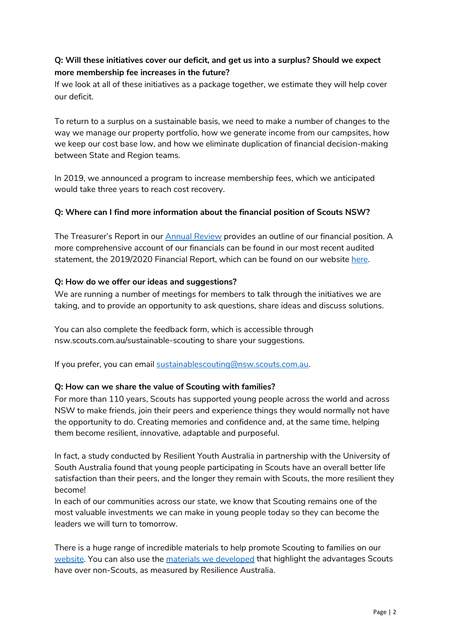# **Q: Will these initiatives cover our deficit, and get us into a surplus? Should we expect more membership fee increases in the future?**

If we look at all of these initiatives as a package together, we estimate they will help cover our deficit.

To return to a surplus on a sustainable basis, we need to make a number of changes to the way we manage our property portfolio, how we generate income from our campsites, how we keep our cost base low, and how we eliminate duplication of financial decision-making between State and Region teams.

In 2019, we announced a program to increase membership fees, which we anticipated would take three years to reach cost recovery.

### **Q: Where can I find more information about the financial position of Scouts NSW?**

The Treasurer's Report in our [Annual Review](https://www.nsw.scouts.com.au/about/about-us/annual-review/) provides an outline of our financial position. A more comprehensive account of our financials can be found in our most recent audited statement, the 2019/2020 Financial Report, which can be found on our website [here.](http://www.nsw.scouts.com.au/sustainable-scouting/)

#### **Q: How do we offer our ideas and suggestions?**

We are running a number of meetings for members to talk through the initiatives we are taking, and to provide an opportunity to ask questions, share ideas and discuss solutions.

You can also complete the feedback form, which is accessible through nsw.scouts.com.au/sustainable-scouting to share your suggestions.

If you prefer, you can email sustainablescouting@nsw.scouts.com.au.

### **Q: How can we share the value of Scouting with families?**

For more than 110 years, Scouts has supported young people across the world and across NSW to make friends, join their peers and experience things they would normally not have the opportunity to do. Creating memories and confidence and, at the same time, helping them become resilient, innovative, adaptable and purposeful.

In fact, a study conducted by Resilient Youth Australia in partnership with the University of South Australia found that young people participating in Scouts have an overall better life satisfaction than their peers, and the longer they remain with Scouts, the more resilient they become!

In each of our communities across our state, we know that Scouting remains one of the most valuable investments we can make in young people today so they can become the leaders we will turn to tomorrow.

There is a huge range of incredible materials to help promote Scouting to families on our [website.](https://www.nsw.scouts.com.au/members-services/promoting-your-group/) You can also use the [materials we developed](https://www.nsw.scouts.com.au/about/the-scouting-effect/) that highlight the advantages Scouts have over non-Scouts, as measured by Resilience Australia.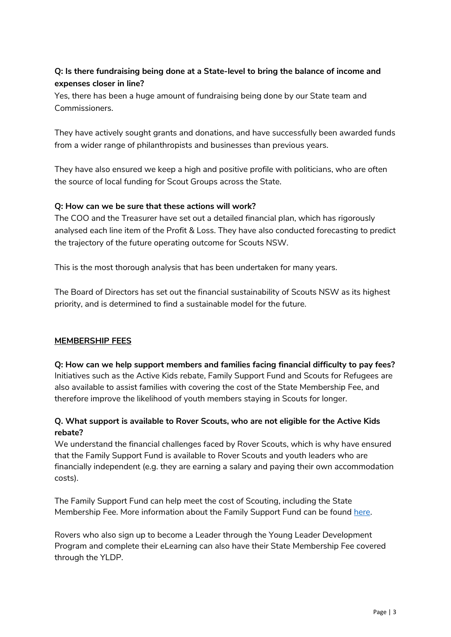# **Q: Is there fundraising being done at a State-level to bring the balance of income and expenses closer in line?**

Yes, there has been a huge amount of fundraising being done by our State team and Commissioners.

They have actively sought grants and donations, and have successfully been awarded funds from a wider range of philanthropists and businesses than previous years.

They have also ensured we keep a high and positive profile with politicians, who are often the source of local funding for Scout Groups across the State.

### **Q: How can we be sure that these actions will work?**

The COO and the Treasurer have set out a detailed financial plan, which has rigorously analysed each line item of the Profit & Loss. They have also conducted forecasting to predict the trajectory of the future operating outcome for Scouts NSW.

This is the most thorough analysis that has been undertaken for many years.

The Board of Directors has set out the financial sustainability of Scouts NSW as its highest priority, and is determined to find a sustainable model for the future.

### **MEMBERSHIP FEES**

**Q: How can we help support members and families facing financial difficulty to pay fees?** Initiatives such as the Active Kids rebate, Family Support Fund and Scouts for Refugees are also available to assist families with covering the cost of the State Membership Fee, and therefore improve the likelihood of youth members staying in Scouts for longer.

## **Q. What support is available to Rover Scouts, who are not eligible for the Active Kids rebate?**

We understand the financial challenges faced by Rover Scouts, which is why have ensured that the Family Support Fund is available to Rover Scouts and youth leaders who are financially independent (e.g. they are earning a salary and paying their own accommodation costs).

The Family Support Fund can help meet the cost of Scouting, including the State Membership Fee. More information about the Family Support Fund can be found [here.](https://www.nsw.scouts.com.au/familysupportfund/)

Rovers who also sign up to become a Leader through the Young Leader Development Program and complete their eLearning can also have their State Membership Fee covered through the YLDP.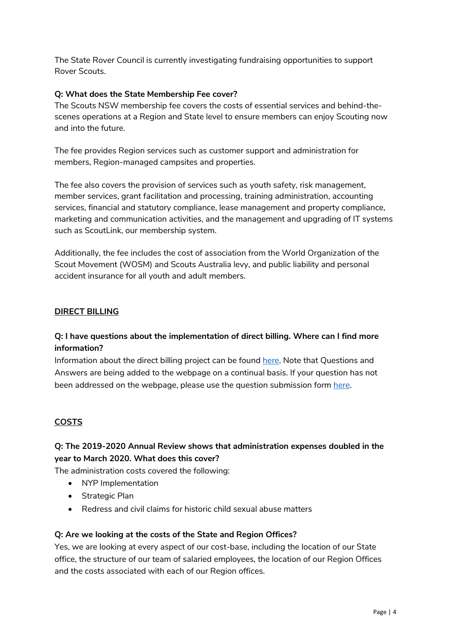The State Rover Council is currently investigating fundraising opportunities to support Rover Scouts.

#### **Q: What does the State Membership Fee cover?**

The Scouts NSW membership fee covers the costs of essential services and behind-thescenes operations at a Region and State level to ensure members can enjoy Scouting now and into the future.

The fee provides Region services such as customer support and administration for members, Region-managed campsites and properties.

The fee also covers the provision of services such as youth safety, risk management, member services, grant facilitation and processing, training administration, accounting services, financial and statutory compliance, lease management and property compliance, marketing and communication activities, and the management and upgrading of IT systems such as ScoutLink, our membership system.

Additionally, the fee includes the cost of association from the World Organization of the Scout Movement (WOSM) and Scouts Australia levy, and public liability and personal accident insurance for all youth and adult members.

#### **DIRECT BILLING**

## **Q: I have questions about the implementation of direct billing. Where can I find more information?**

Information about the direct billing project can be found [here.](https://www.nsw.scouts.com.au/direct-billing/) Note that Questions and Answers are being added to the webpage on a continual basis. If your question has not been addressed on the webpage, please use the question submission form [here.](https://www.nsw.scouts.com.au/direct-billing/)

### **COSTS**

# **Q: The 2019-2020 Annual Review shows that administration expenses doubled in the year to March 2020. What does this cover?**

The administration costs covered the following:

- NYP Implementation
- Strategic Plan
- Redress and civil claims for historic child sexual abuse matters

#### **Q: Are we looking at the costs of the State and Region Offices?**

Yes, we are looking at every aspect of our cost-base, including the location of our State office, the structure of our team of salaried employees, the location of our Region Offices and the costs associated with each of our Region offices.